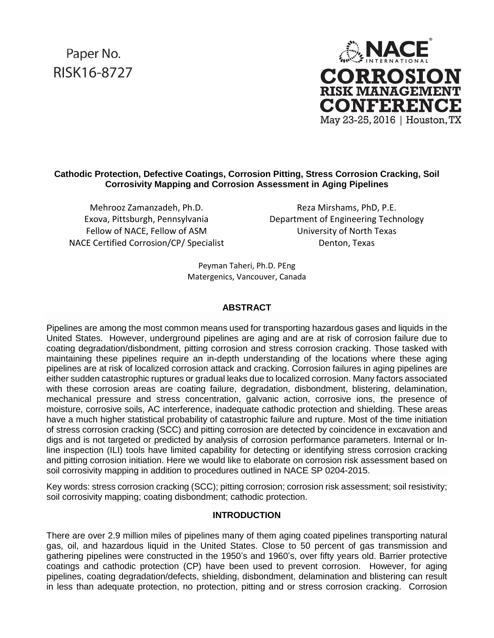# Paper No. RISK16-8727



## **Cathodic Protection, Defective Coatings, Corrosion Pitting, Stress Corrosion Cracking, Soil Corrosivity Mapping and Corrosion Assessment in Aging Pipelines**

Mehrooz Zamanzadeh, Ph.D. Exova, Pittsburgh, Pennsylvania Fellow of NACE, Fellow of ASM NACE Certified Corrosion/CP/ Specialist

Reza Mirshams, PhD, P.E. Department of Engineering Technology University of North Texas Denton, Texas

Peyman Taheri, Ph.D. PEng Matergenics, Vancouver, Canada

# **ABSTRACT**

Pipelines are among the most common means used for transporting hazardous gases and liquids in the United States. However, underground pipelines are aging and are at risk of corrosion failure due to coating degradation/disbondment, pitting corrosion and stress corrosion cracking. Those tasked with maintaining these pipelines require an in-depth understanding of the locations where these aging pipelines are at risk of localized corrosion attack and cracking. Corrosion failures in aging pipelines are either sudden catastrophic ruptures or gradual leaks due to localized corrosion. Many factors associated with these corrosion areas are coating failure, degradation, disbondment, blistering, delamination, mechanical pressure and stress concentration, galvanic action, corrosive ions, the presence of moisture, corrosive soils, AC interference, inadequate cathodic protection and shielding. These areas have a much higher statistical probability of catastrophic failure and rupture. Most of the time initiation of stress corrosion cracking (SCC) and pitting corrosion are detected by coincidence in excavation and digs and is not targeted or predicted by analysis of corrosion performance parameters. Internal or Inline inspection (ILI) tools have limited capability for detecting or identifying stress corrosion cracking and pitting corrosion initiation. Here we would like to elaborate on corrosion risk assessment based on soil corrosivity mapping in addition to procedures outlined in NACE SP 0204-2015.

Key words: stress corrosion cracking (SCC); pitting corrosion; corrosion risk assessment; soil resistivity; soil corrosivity mapping; coating disbondment; cathodic protection.

## **INTRODUCTION**

There are over 2.9 million miles of pipelines many of them aging coated pipelines transporting natural gas, oil, and hazardous liquid in the United States. Close to 50 percent of gas transmission and gathering pipelines were constructed in the 1950's and 1960's, over fifty years old. Barrier protective coatings and cathodic protection (CP) have been used to prevent corrosion. However, for aging pipelines, coating degradation/defects, shielding, disbondment, delamination and blistering can result in less than adequate protection, no protection, pitting and or stress corrosion cracking. Corrosion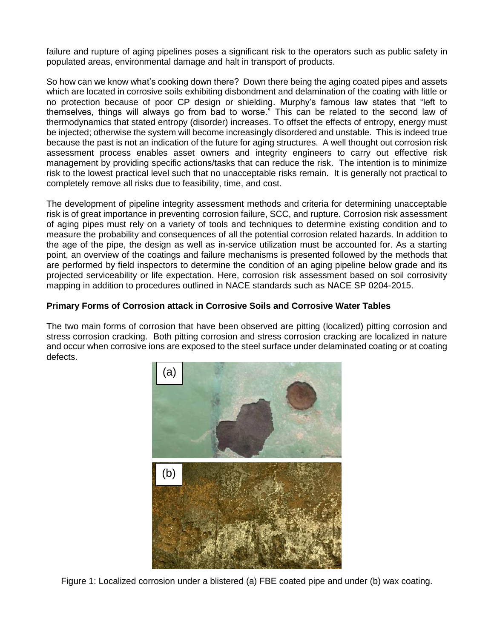failure and rupture of aging pipelines poses a significant risk to the operators such as public safety in populated areas, environmental damage and halt in transport of products.

So how can we know what's cooking down there? Down there being the aging coated pipes and assets which are located in corrosive soils exhibiting disbondment and delamination of the coating with little or no protection because of poor CP design or shielding. Murphy's famous law states that "left to themselves, things will always go from bad to worse." This can be related to the second law of thermodynamics that stated entropy (disorder) increases. To offset the effects of entropy, energy must be injected; otherwise the system will become increasingly disordered and unstable. This is indeed true because the past is not an indication of the future for aging structures. A well thought out corrosion risk assessment process enables asset owners and integrity engineers to carry out effective risk management by providing specific actions/tasks that can reduce the risk. The intention is to minimize risk to the lowest practical level such that no unacceptable risks remain. It is generally not practical to completely remove all risks due to feasibility, time, and cost.

The development of pipeline integrity assessment methods and criteria for determining unacceptable risk is of great importance in preventing corrosion failure, SCC, and rupture. Corrosion risk assessment of aging pipes must rely on a variety of tools and techniques to determine existing condition and to measure the probability and consequences of all the potential corrosion related hazards. In addition to the age of the pipe, the design as well as in-service utilization must be accounted for. As a starting point, an overview of the coatings and failure mechanisms is presented followed by the methods that are performed by field inspectors to determine the condition of an aging pipeline below grade and its projected serviceability or life expectation. Here, corrosion risk assessment based on soil corrosivity mapping in addition to procedures outlined in NACE standards such as NACE SP 0204-2015.

# **Primary Forms of Corrosion attack in Corrosive Soils and Corrosive Water Tables**

The two main forms of corrosion that have been observed are pitting (localized) pitting corrosion and stress corrosion cracking. Both pitting corrosion and stress corrosion cracking are localized in nature and occur when corrosive ions are exposed to the steel surface under delaminated coating or at coating defects.



Figure 1: Localized corrosion under a blistered (a) FBE coated pipe and under (b) wax coating.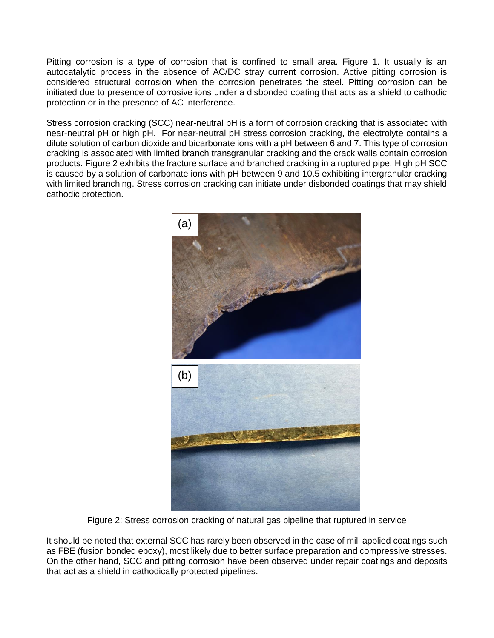Pitting corrosion is a type of corrosion that is confined to small area. Figure 1. It usually is an autocatalytic process in the absence of AC/DC stray current corrosion. Active pitting corrosion is considered structural corrosion when the corrosion penetrates the steel. Pitting corrosion can be initiated due to presence of corrosive ions under a disbonded coating that acts as a shield to cathodic protection or in the presence of AC interference.

Stress corrosion cracking (SCC) near-neutral pH is a form of corrosion cracking that is associated with near-neutral pH or high pH. For near-neutral pH stress corrosion cracking, the electrolyte contains a dilute solution of carbon dioxide and bicarbonate ions with a pH between 6 and 7. This type of corrosion cracking is associated with limited branch transgranular cracking and the crack walls contain corrosion products. Figure 2 exhibits the fracture surface and branched cracking in a ruptured pipe. High pH SCC is caused by a solution of carbonate ions with pH between 9 and 10.5 exhibiting intergranular cracking with limited branching. Stress corrosion cracking can initiate under disbonded coatings that may shield cathodic protection.



Figure 2: Stress corrosion cracking of natural gas pipeline that ruptured in service

It should be noted that external SCC has rarely been observed in the case of mill applied coatings such as FBE (fusion bonded epoxy), most likely due to better surface preparation and compressive stresses. On the other hand, SCC and pitting corrosion have been observed under repair coatings and deposits that act as a shield in cathodically protected pipelines.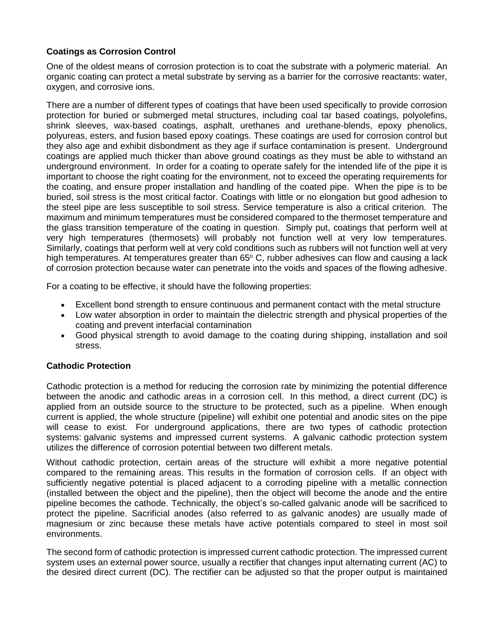# **Coatings as Corrosion Control**

One of the oldest means of corrosion protection is to coat the substrate with a polymeric material. An organic coating can protect a metal substrate by serving as a barrier for the corrosive reactants: water, oxygen, and corrosive ions.

There are a number of different types of coatings that have been used specifically to provide corrosion protection for buried or submerged metal structures, including coal tar based coatings, polyolefins, shrink sleeves, wax-based coatings, asphalt, urethanes and urethane-blends, epoxy phenolics, polyureas, esters, and fusion based epoxy coatings. These coatings are used for corrosion control but they also age and exhibit disbondment as they age if surface contamination is present. Underground coatings are applied much thicker than above ground coatings as they must be able to withstand an underground environment. In order for a coating to operate safely for the intended life of the pipe it is important to choose the right coating for the environment, not to exceed the operating requirements for the coating, and ensure proper installation and handling of the coated pipe. When the pipe is to be buried, soil stress is the most critical factor. Coatings with little or no elongation but good adhesion to the steel pipe are less susceptible to soil stress. Service temperature is also a critical criterion. The maximum and minimum temperatures must be considered compared to the thermoset temperature and the glass transition temperature of the coating in question. Simply put, coatings that perform well at very high temperatures (thermosets) will probably not function well at very low temperatures. Similarly, coatings that perform well at very cold conditions such as rubbers will not function well at very high temperatures. At temperatures greater than  $65^{\circ}$  C, rubber adhesives can flow and causing a lack of corrosion protection because water can penetrate into the voids and spaces of the flowing adhesive.

For a coating to be effective, it should have the following properties:

- Excellent bond strength to ensure continuous and permanent contact with the metal structure
- Low water absorption in order to maintain the dielectric strength and physical properties of the coating and prevent interfacial contamination
- Good physical strength to avoid damage to the coating during shipping, installation and soil stress.

## **Cathodic Protection**

Cathodic protection is a method for reducing the corrosion rate by minimizing the potential difference between the anodic and cathodic areas in a corrosion cell. In this method, a direct current (DC) is applied from an outside source to the structure to be protected, such as a pipeline. When enough current is applied, the whole structure (pipeline) will exhibit one potential and anodic sites on the pipe will cease to exist. For underground applications, there are two types of cathodic protection systems: galvanic systems and impressed current systems. A galvanic cathodic protection system utilizes the difference of corrosion potential between two different metals.

Without cathodic protection, certain areas of the structure will exhibit a more negative potential compared to the remaining areas. This results in the formation of corrosion cells. If an object with sufficiently negative potential is placed adjacent to a corroding pipeline with a metallic connection (installed between the object and the pipeline), then the object will become the anode and the entire pipeline becomes the cathode. Technically, the object's so-called galvanic anode will be sacrificed to protect the pipeline. Sacrificial anodes (also referred to as galvanic anodes) are usually made of magnesium or zinc because these metals have active potentials compared to steel in most soil environments.

The second form of cathodic protection is impressed current cathodic protection. The impressed current system uses an external power source, usually a rectifier that changes input alternating current (AC) to the desired direct current (DC). The rectifier can be adjusted so that the proper output is maintained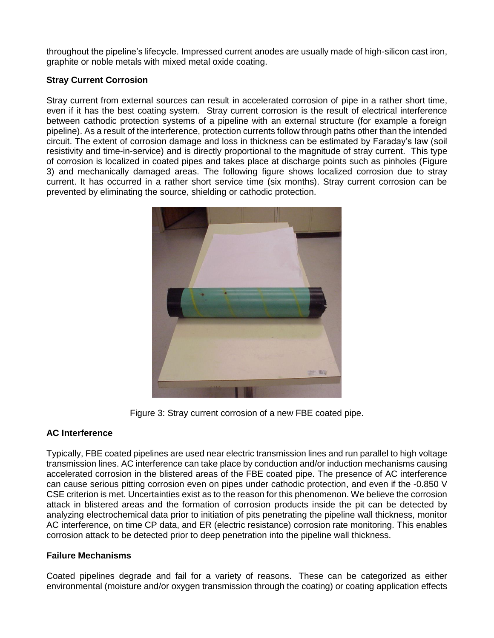throughout the pipeline's lifecycle. Impressed current anodes are usually made of high-silicon cast iron, graphite or noble metals with mixed metal oxide coating.

# **Stray Current Corrosion**

Stray current from external sources can result in accelerated corrosion of pipe in a rather short time, even if it has the best coating system. Stray current corrosion is the result of electrical interference between cathodic protection systems of a pipeline with an external structure (for example a foreign pipeline). As a result of the interference, protection currents follow through paths other than the intended circuit. The extent of corrosion damage and loss in thickness can be estimated by Faraday's law (soil resistivity and time-in-service) and is directly proportional to the magnitude of stray current. This type of corrosion is localized in coated pipes and takes place at discharge points such as pinholes (Figure 3) and mechanically damaged areas. The following figure shows localized corrosion due to stray current. It has occurred in a rather short service time (six months). Stray current corrosion can be prevented by eliminating the source, shielding or cathodic protection.



Figure 3: Stray current corrosion of a new FBE coated pipe.

# **AC Interference**

Typically, FBE coated pipelines are used near electric transmission lines and run parallel to high voltage transmission lines. AC interference can take place by conduction and/or induction mechanisms causing accelerated corrosion in the blistered areas of the FBE coated pipe. The presence of AC interference can cause serious pitting corrosion even on pipes under cathodic protection, and even if the -0.850 V CSE criterion is met. Uncertainties exist as to the reason for this phenomenon. We believe the corrosion attack in blistered areas and the formation of corrosion products inside the pit can be detected by analyzing electrochemical data prior to initiation of pits penetrating the pipeline wall thickness, monitor AC interference, on time CP data, and ER (electric resistance) corrosion rate monitoring. This enables corrosion attack to be detected prior to deep penetration into the pipeline wall thickness.

## **Failure Mechanisms**

Coated pipelines degrade and fail for a variety of reasons. These can be categorized as either environmental (moisture and/or oxygen transmission through the coating) or coating application effects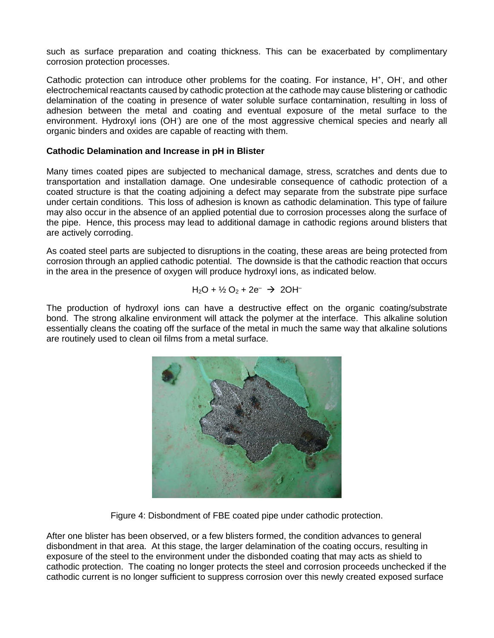such as surface preparation and coating thickness. This can be exacerbated by complimentary corrosion protection processes.

Cathodic protection can introduce other problems for the coating. For instance, H<sup>+</sup>, OH<sup>-</sup>, and other electrochemical reactants caused by cathodic protection at the cathode may cause blistering or cathodic delamination of the coating in presence of water soluble surface contamination, resulting in loss of adhesion between the metal and coating and eventual exposure of the metal surface to the environment. Hydroxyl ions (OH) are one of the most aggressive chemical species and nearly all organic binders and oxides are capable of reacting with them.

## **Cathodic Delamination and Increase in pH in Blister**

Many times coated pipes are subjected to mechanical damage, stress, scratches and dents due to transportation and installation damage. One undesirable consequence of cathodic protection of a coated structure is that the coating adjoining a defect may separate from the substrate pipe surface under certain conditions. This loss of adhesion is known as cathodic delamination. This type of failure may also occur in the absence of an applied potential due to corrosion processes along the surface of the pipe. Hence, this process may lead to additional damage in cathodic regions around blisters that are actively corroding.

As coated steel parts are subjected to disruptions in the coating, these areas are being protected from corrosion through an applied cathodic potential. The downside is that the cathodic reaction that occurs in the area in the presence of oxygen will produce hydroxyl ions, as indicated below.

$$
H_2O + \frac{1}{2}O_2 + 2e^- \rightarrow 2OH^-
$$

The production of hydroxyl ions can have a destructive effect on the organic coating/substrate bond. The strong alkaline environment will attack the polymer at the interface. This alkaline solution essentially cleans the coating off the surface of the metal in much the same way that alkaline solutions are routinely used to clean oil films from a metal surface.



Figure 4: Disbondment of FBE coated pipe under cathodic protection.

After one blister has been observed, or a few blisters formed, the condition advances to general disbondment in that area. At this stage, the larger delamination of the coating occurs, resulting in exposure of the steel to the environment under the disbonded coating that may acts as shield to cathodic protection. The coating no longer protects the steel and corrosion proceeds unchecked if the cathodic current is no longer sufficient to suppress corrosion over this newly created exposed surface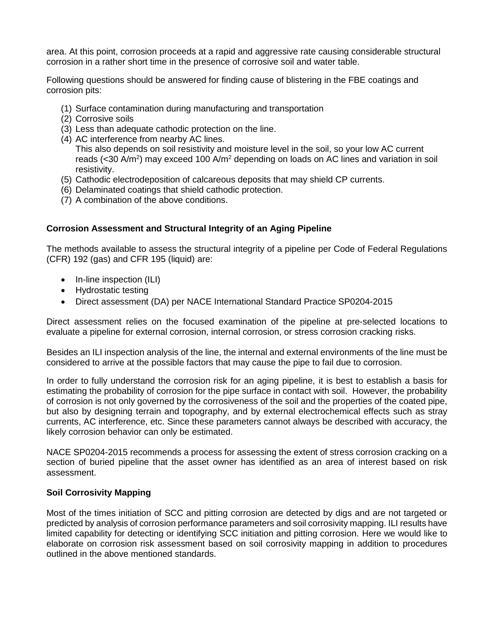area. At this point, corrosion proceeds at a rapid and aggressive rate causing considerable structural corrosion in a rather short time in the presence of corrosive soil and water table.

Following questions should be answered for finding cause of blistering in the FBE coatings and corrosion pits:

- (1) Surface contamination during manufacturing and transportation
- (2) Corrosive soils
- (3) Less than adequate cathodic protection on the line.
- (4) AC interference from nearby AC lines. This also depends on soil resistivity and moisture level in the soil, so your low AC current reads (<30 A/m<sup>2</sup>) may exceed 100 A/m<sup>2</sup> depending on loads on AC lines and variation in soil resistivity.
- (5) Cathodic electrodeposition of calcareous deposits that may shield CP currents.
- (6) Delaminated coatings that shield cathodic protection.
- (7) A combination of the above conditions.

#### **Corrosion Assessment and Structural Integrity of an Aging Pipeline**

The methods available to assess the structural integrity of a pipeline per Code of Federal Regulations (CFR) 192 (gas) and CFR 195 (liquid) are:

- In-line inspection (ILI)
- Hydrostatic testing
- Direct assessment (DA) per NACE International Standard Practice SP0204-2015

Direct assessment relies on the focused examination of the pipeline at pre-selected locations to evaluate a pipeline for external corrosion, internal corrosion, or stress corrosion cracking risks.

Besides an ILI inspection analysis of the line, the internal and external environments of the line must be considered to arrive at the possible factors that may cause the pipe to fail due to corrosion.

In order to fully understand the corrosion risk for an aging pipeline, it is best to establish a basis for estimating the probability of corrosion for the pipe surface in contact with soil. However, the probability of corrosion is not only governed by the corrosiveness of the soil and the properties of the coated pipe, but also by designing terrain and topography, and by external electrochemical effects such as stray currents, AC interference, etc. Since these parameters cannot always be described with accuracy, the likely corrosion behavior can only be estimated.

NACE SP0204-2015 recommends a process for assessing the extent of stress corrosion cracking on a section of buried pipeline that the asset owner has identified as an area of interest based on risk assessment.

#### **Soil Corrosivity Mapping**

Most of the times initiation of SCC and pitting corrosion are detected by digs and are not targeted or predicted by analysis of corrosion performance parameters and soil corrosivity mapping. ILI results have limited capability for detecting or identifying SCC initiation and pitting corrosion. Here we would like to elaborate on corrosion risk assessment based on soil corrosivity mapping in addition to procedures outlined in the above mentioned standards.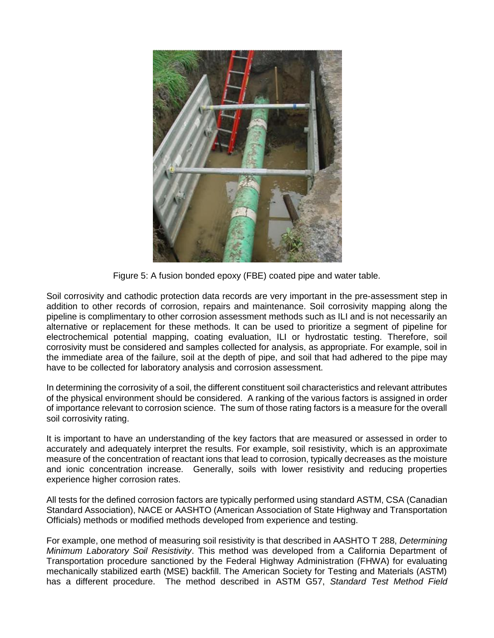

Figure 5: A fusion bonded epoxy (FBE) coated pipe and water table.

Soil corrosivity and cathodic protection data records are very important in the pre-assessment step in addition to other records of corrosion, repairs and maintenance. Soil corrosivity mapping along the pipeline is complimentary to other corrosion assessment methods such as ILI and is not necessarily an alternative or replacement for these methods. It can be used to prioritize a segment of pipeline for electrochemical potential mapping, coating evaluation, ILI or hydrostatic testing. Therefore, soil corrosivity must be considered and samples collected for analysis, as appropriate. For example, soil in the immediate area of the failure, soil at the depth of pipe, and soil that had adhered to the pipe may have to be collected for laboratory analysis and corrosion assessment.

In determining the corrosivity of a soil, the different constituent soil characteristics and relevant attributes of the physical environment should be considered. A ranking of the various factors is assigned in order of importance relevant to corrosion science. The sum of those rating factors is a measure for the overall soil corrosivity rating.

It is important to have an understanding of the key factors that are measured or assessed in order to accurately and adequately interpret the results. For example, soil resistivity, which is an approximate measure of the concentration of reactant ions that lead to corrosion, typically decreases as the moisture and ionic concentration increase. Generally, soils with lower resistivity and reducing properties experience higher corrosion rates.

All tests for the defined corrosion factors are typically performed using standard ASTM, CSA (Canadian Standard Association), NACE or AASHTO (American Association of State Highway and Transportation Officials) methods or modified methods developed from experience and testing.

For example, one method of measuring soil resistivity is that described in AASHTO T 288, *Determining Minimum Laboratory Soil Resistivity*. This method was developed from a California Department of Transportation procedure sanctioned by the Federal Highway Administration (FHWA) for evaluating mechanically stabilized earth (MSE) backfill. The American Society for Testing and Materials (ASTM) has a different procedure. The method described in ASTM G57, *Standard Test Method Field*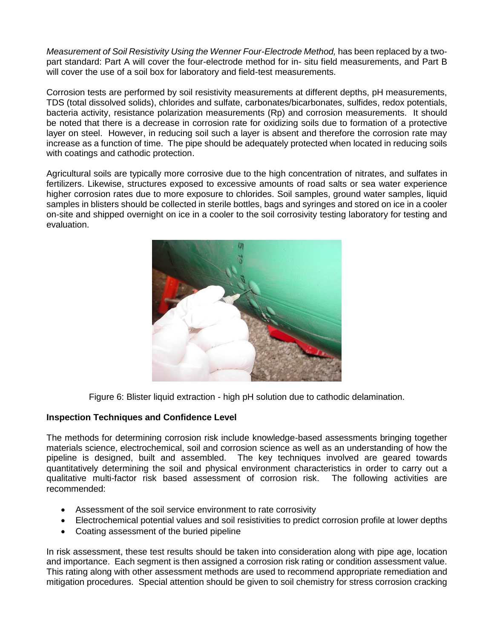*Measurement of Soil Resistivity Using the Wenner Four-Electrode Method,* has been replaced by a twopart standard: Part A will cover the four-electrode method for in- situ field measurements, and Part B will cover the use of a soil box for laboratory and field-test measurements.

Corrosion tests are performed by soil resistivity measurements at different depths, pH measurements, TDS (total dissolved solids), chlorides and sulfate, carbonates/bicarbonates, sulfides, redox potentials, bacteria activity, resistance polarization measurements (Rp) and corrosion measurements. It should be noted that there is a decrease in corrosion rate for oxidizing soils due to formation of a protective layer on steel. However, in reducing soil such a layer is absent and therefore the corrosion rate may increase as a function of time. The pipe should be adequately protected when located in reducing soils with coatings and cathodic protection.

Agricultural soils are typically more corrosive due to the high concentration of nitrates, and sulfates in fertilizers. Likewise, structures exposed to excessive amounts of road salts or sea water experience higher corrosion rates due to more exposure to chlorides. Soil samples, ground water samples, liquid samples in blisters should be collected in sterile bottles, bags and syringes and stored on ice in a cooler on-site and shipped overnight on ice in a cooler to the soil corrosivity testing laboratory for testing and evaluation.



Figure 6: Blister liquid extraction - high pH solution due to cathodic delamination.

## **Inspection Techniques and Confidence Level**

The methods for determining corrosion risk include knowledge-based assessments bringing together materials science, electrochemical, soil and corrosion science as well as an understanding of how the pipeline is designed, built and assembled. The key techniques involved are geared towards quantitatively determining the soil and physical environment characteristics in order to carry out a qualitative multi-factor risk based assessment of corrosion risk. The following activities are recommended:

- Assessment of the soil service environment to rate corrosivity
- Electrochemical potential values and soil resistivities to predict corrosion profile at lower depths
- Coating assessment of the buried pipeline

In risk assessment, these test results should be taken into consideration along with pipe age, location and importance. Each segment is then assigned a corrosion risk rating or condition assessment value. This rating along with other assessment methods are used to recommend appropriate remediation and mitigation procedures. Special attention should be given to soil chemistry for stress corrosion cracking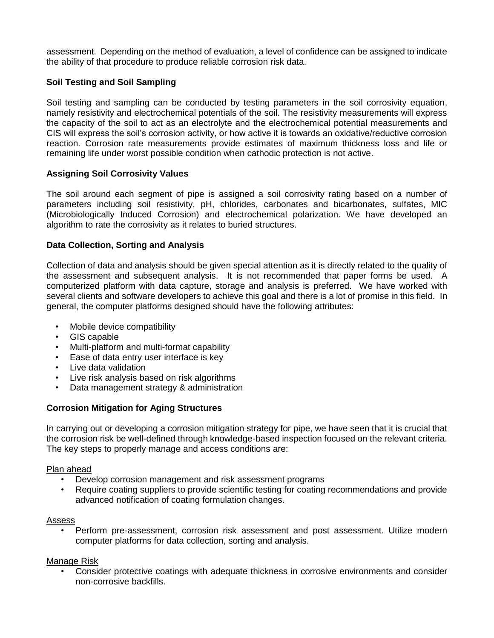assessment. Depending on the method of evaluation, a level of confidence can be assigned to indicate the ability of that procedure to produce reliable corrosion risk data.

# **Soil Testing and Soil Sampling**

Soil testing and sampling can be conducted by testing parameters in the soil corrosivity equation, namely resistivity and electrochemical potentials of the soil. The resistivity measurements will express the capacity of the soil to act as an electrolyte and the electrochemical potential measurements and CIS will express the soil's corrosion activity, or how active it is towards an oxidative/reductive corrosion reaction. Corrosion rate measurements provide estimates of maximum thickness loss and life or remaining life under worst possible condition when cathodic protection is not active.

## **Assigning Soil Corrosivity Values**

The soil around each segment of pipe is assigned a soil corrosivity rating based on a number of parameters including soil resistivity, pH, chlorides, carbonates and bicarbonates, sulfates, MIC (Microbiologically Induced Corrosion) and electrochemical polarization. We have developed an algorithm to rate the corrosivity as it relates to buried structures.

#### **Data Collection, Sorting and Analysis**

Collection of data and analysis should be given special attention as it is directly related to the quality of the assessment and subsequent analysis. It is not recommended that paper forms be used. A computerized platform with data capture, storage and analysis is preferred. We have worked with several clients and software developers to achieve this goal and there is a lot of promise in this field. In general, the computer platforms designed should have the following attributes:

- Mobile device compatibility
- GIS capable
- Multi-platform and multi-format capability
- Ease of data entry user interface is key
- Live data validation
- Live risk analysis based on risk algorithms
- Data management strategy & administration

## **Corrosion Mitigation for Aging Structures**

In carrying out or developing a corrosion mitigation strategy for pipe, we have seen that it is crucial that the corrosion risk be well-defined through knowledge-based inspection focused on the relevant criteria. The key steps to properly manage and access conditions are:

#### Plan ahead

- Develop corrosion management and risk assessment programs
- Require coating suppliers to provide scientific testing for coating recommendations and provide advanced notification of coating formulation changes.

#### Assess

• Perform pre-assessment, corrosion risk assessment and post assessment. Utilize modern computer platforms for data collection, sorting and analysis.

#### Manage Risk

• Consider protective coatings with adequate thickness in corrosive environments and consider non-corrosive backfills.